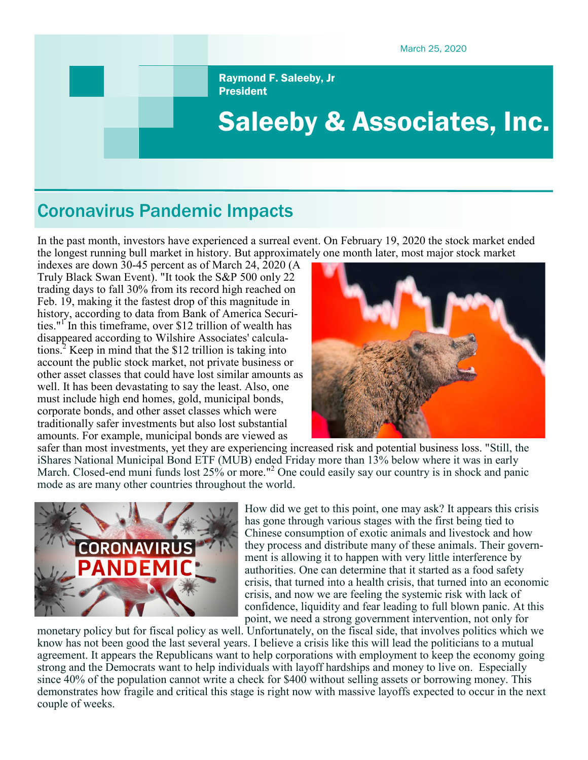March 25, 2020

Raymond F. Saleeby, Jr President

# Saleeby & Associates, Inc.

# Coronavirus Pandemic Impacts

In the past month, investors have experienced a surreal event. On February 19, 2020 the stock market ended the longest running bull market in history. But approximately one month later, most major stock market

indexes are down 30-45 percent as of March 24, 2020 (A Truly Black Swan Event). "It took the S&P 500 only 22 trading days to fall 30% from its record high reached on Feb. 19, making it the fastest drop of this magnitude in history, according to data from Bank of America Securities."<sup>I'</sup> In this timeframe, over \$12 trillion of wealth has disappeared according to Wilshire Associates' calculations.<sup>2</sup> Keep in mind that the \$12 trillion is taking into account the public stock market, not private business or other asset classes that could have lost similar amounts as well. It has been devastating to say the least. Also, one must include high end homes, gold, municipal bonds, corporate bonds, and other asset classes which were traditionally safer investments but also lost substantial amounts. For example, municipal bonds are viewed as



safer than most investments, yet they are experiencing increased risk and potential business loss. "Still, the iShares National Municipal Bond ETF (MUB) ended Friday more than 13% below where it was in early March. Closed-end muni funds lost 25% or more."<sup>2</sup> One could easily say our country is in shock and panic mode as are many other countries throughout the world.



How did we get to this point, one may ask? It appears this crisis has gone through various stages with the first being tied to Chinese consumption of exotic animals and livestock and how they process and distribute many of these animals. Their government is allowing it to happen with very little interference by authorities. One can determine that it started as a food safety crisis, that turned into a health crisis, that turned into an economic crisis, and now we are feeling the systemic risk with lack of confidence, liquidity and fear leading to full blown panic. At this point, we need a strong government intervention, not only for

monetary policy but for fiscal policy as well. Unfortunately, on the fiscal side, that involves politics which we know has not been good the last several years. I believe a crisis like this will lead the politicians to a mutual agreement. It appears the Republicans want to help corporations with employment to keep the economy going strong and the Democrats want to help individuals with layoff hardships and money to live on. Especially since 40% of the population cannot write a check for \$400 without selling assets or borrowing money. This demonstrates how fragile and critical this stage is right now with massive layoffs expected to occur in the next couple of weeks.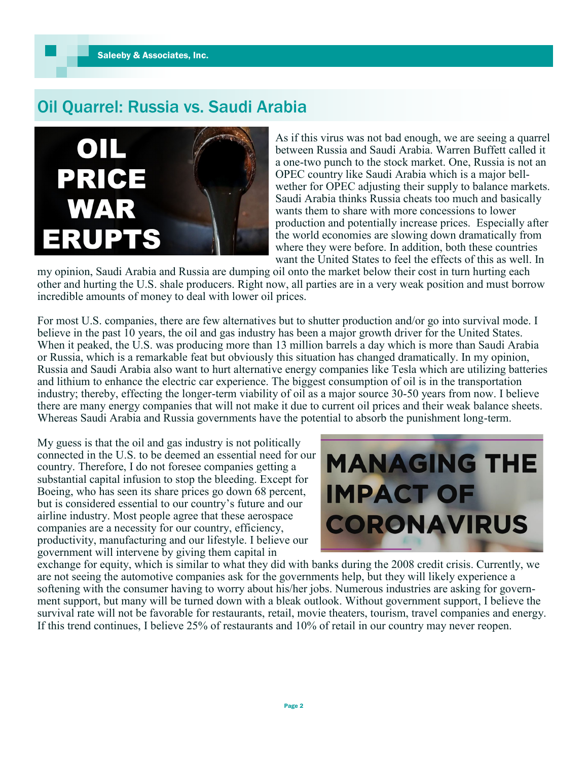### Oil Quarrel: Russia vs. Saudi Arabia



As if this virus was not bad enough, we are seeing a quarrel between Russia and Saudi Arabia. Warren Buffett called it a one-two punch to the stock market. One, Russia is not an OPEC country like Saudi Arabia which is a major bellwether for OPEC adjusting their supply to balance markets. Saudi Arabia thinks Russia cheats too much and basically wants them to share with more concessions to lower production and potentially increase prices. Especially after the world economies are slowing down dramatically from where they were before. In addition, both these countries want the United States to feel the effects of this as well. In

my opinion, Saudi Arabia and Russia are dumping oil onto the market below their cost in turn hurting each other and hurting the U.S. shale producers. Right now, all parties are in a very weak position and must borrow incredible amounts of money to deal with lower oil prices.

For most U.S. companies, there are few alternatives but to shutter production and/or go into survival mode. I believe in the past 10 years, the oil and gas industry has been a major growth driver for the United States. When it peaked, the U.S. was producing more than 13 million barrels a day which is more than Saudi Arabia or Russia, which is a remarkable feat but obviously this situation has changed dramatically. In my opinion, Russia and Saudi Arabia also want to hurt alternative energy companies like Tesla which are utilizing batteries and lithium to enhance the electric car experience. The biggest consumption of oil is in the transportation industry; thereby, effecting the longer-term viability of oil as a major source 30-50 years from now. I believe there are many energy companies that will not make it due to current oil prices and their weak balance sheets. Whereas Saudi Arabia and Russia governments have the potential to absorb the punishment long-term.

My guess is that the oil and gas industry is not politically connected in the U.S. to be deemed an essential need for our country. Therefore, I do not foresee companies getting a substantial capital infusion to stop the bleeding. Except for Boeing, who has seen its share prices go down 68 percent, but is considered essential to our country's future and our airline industry. Most people agree that these aerospace companies are a necessity for our country, efficiency, productivity, manufacturing and our lifestyle. I believe our government will intervene by giving them capital in



exchange for equity, which is similar to what they did with banks during the 2008 credit crisis. Currently, we are not seeing the automotive companies ask for the governments help, but they will likely experience a softening with the consumer having to worry about his/her jobs. Numerous industries are asking for government support, but many will be turned down with a bleak outlook. Without government support, I believe the survival rate will not be favorable for restaurants, retail, movie theaters, tourism, travel companies and energy. If this trend continues, I believe 25% of restaurants and 10% of retail in our country may never reopen.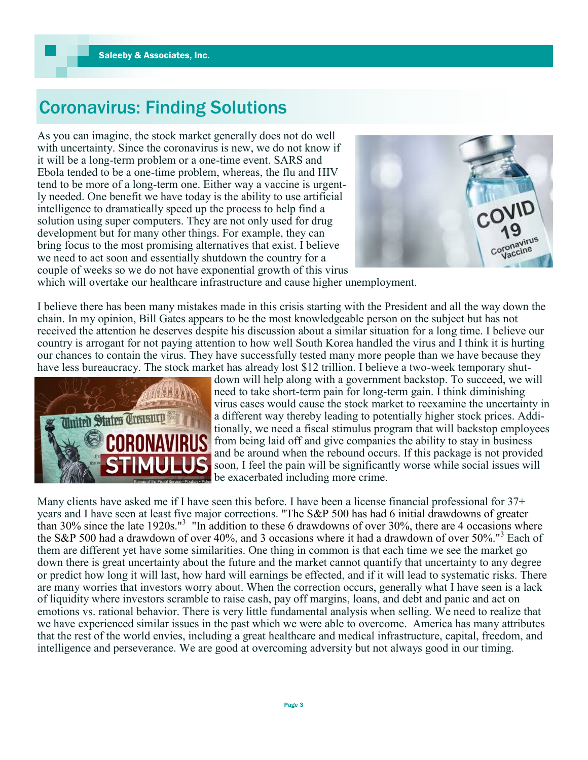# Coronavirus: Finding Solutions

As you can imagine, the stock market generally does not do well with uncertainty. Since the coronavirus is new, we do not know if it will be a long-term problem or a one-time event. SARS and Ebola tended to be a one-time problem, whereas, the flu and HIV tend to be more of a long-term one. Either way a vaccine is urgently needed. One benefit we have today is the ability to use artificial intelligence to dramatically speed up the process to help find a solution using super computers. They are not only used for drug development but for many other things. For example, they can bring focus to the most promising alternatives that exist. I believe we need to act soon and essentially shutdown the country for a couple of weeks so we do not have exponential growth of this virus



which will overtake our healthcare infrastructure and cause higher unemployment.

I believe there has been many mistakes made in this crisis starting with the President and all the way down the chain. In my opinion, Bill Gates appears to be the most knowledgeable person on the subject but has not received the attention he deserves despite his discussion about a similar situation for a long time. I believe our country is arrogant for not paying attention to how well South Korea handled the virus and I think it is hurting our chances to contain the virus. They have successfully tested many more people than we have because they have less bureaucracy. The stock market has already lost \$12 trillion. I believe a two-week temporary shut-



down will help along with a government backstop. To succeed, we will need to take short-term pain for long-term gain. I think diminishing virus cases would cause the stock market to reexamine the uncertainty in a different way thereby leading to potentially higher stock prices. Additionally, we need a fiscal stimulus program that will backstop employees from being laid off and give companies the ability to stay in business and be around when the rebound occurs. If this package is not provided soon, I feel the pain will be significantly worse while social issues will be exacerbated including more crime.

Many clients have asked me if I have seen this before. I have been a license financial professional for 37+ years and I have seen at least five major corrections. "The S&P 500 has had 6 initial drawdowns of greater than 30% since the late 1920s."<sup>3</sup> "In addition to these 6 drawdowns of over 30%, there are 4 occasions where the S&P 500 had a drawdown of over 40%, and 3 occasions where it had a drawdown of over 50%."<sup>3</sup> Each of them are different yet have some similarities. One thing in common is that each time we see the market go down there is great uncertainty about the future and the market cannot quantify that uncertainty to any degree or predict how long it will last, how hard will earnings be effected, and if it will lead to systematic risks. There are many worries that investors worry about. When the correction occurs, generally what I have seen is a lack of liquidity where investors scramble to raise cash, pay off margins, loans, and debt and panic and act on emotions vs. rational behavior. There is very little fundamental analysis when selling. We need to realize that we have experienced similar issues in the past which we were able to overcome. America has many attributes that the rest of the world envies, including a great healthcare and medical infrastructure, capital, freedom, and intelligence and perseverance. We are good at overcoming adversity but not always good in our timing.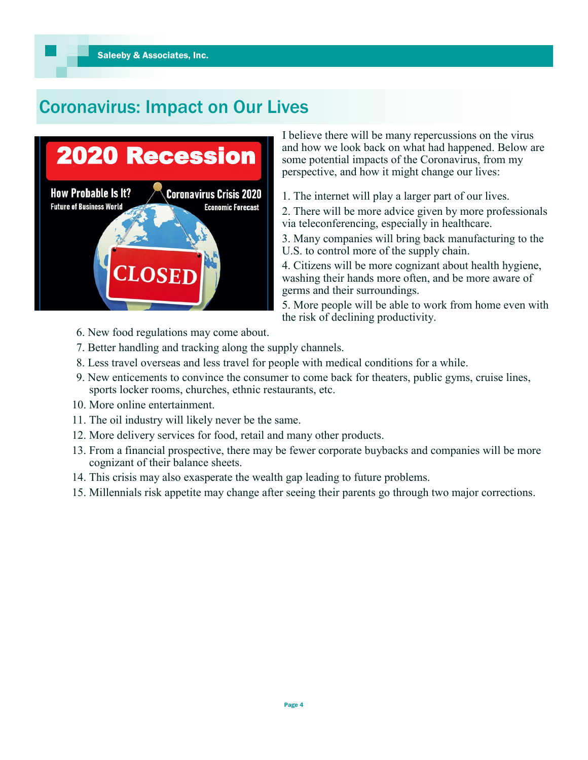# Coronavirus: Impact on Our Lives



 I believe there will be many repercussions on the virus and how we look back on what had happened. Below are some potential impacts of the Coronavirus, from my perspective, and how it might change our lives:

- 1. The internet will play a larger part of our lives.
- 2. There will be more advice given by more professionals via teleconferencing, especially in healthcare.

3. Many companies will bring back manufacturing to the U.S. to control more of the supply chain.

4. Citizens will be more cognizant about health hygiene, washing their hands more often, and be more aware of germs and their surroundings.

5. More people will be able to work from home even with the risk of declining productivity.

- 6. New food regulations may come about.
- 7. Better handling and tracking along the supply channels.
- 8. Less travel overseas and less travel for people with medical conditions for a while.
- 9. New enticements to convince the consumer to come back for theaters, public gyms, cruise lines, sports locker rooms, churches, ethnic restaurants, etc.
- 10. More online entertainment.
- 11. The oil industry will likely never be the same.
- 12. More delivery services for food, retail and many other products.
- 13. From a financial prospective, there may be fewer corporate buybacks and companies will be more cognizant of their balance sheets.
- 14. This crisis may also exasperate the wealth gap leading to future problems.
- 15. Millennials risk appetite may change after seeing their parents go through two major corrections.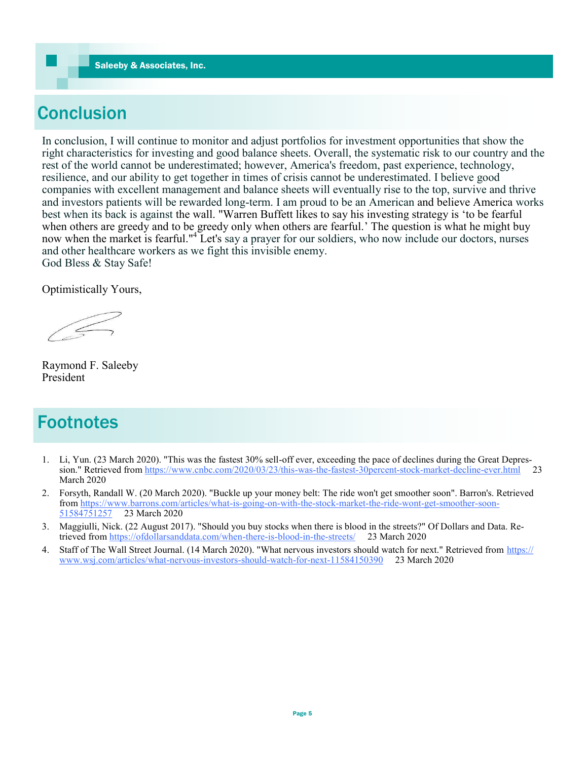# **Conclusion**

In conclusion, I will continue to monitor and adjust portfolios for investment opportunities that show the right characteristics for investing and good balance sheets. Overall, the systematic risk to our country and the rest of the world cannot be underestimated; however, America's freedom, past experience, technology, resilience, and our ability to get together in times of crisis cannot be underestimated. I believe good companies with excellent management and balance sheets will eventually rise to the top, survive and thrive and investors patients will be rewarded long-term. I am proud to be an American and believe America works best when its back is against the wall. "Warren Buffett likes to say his investing strategy is 'to be fearful when others are greedy and to be greedy only when others are fearful.' The question is what he might buy now when the market is fearful."<sup>4</sup> Let's say a prayer for our soldiers, who now include our doctors, nurses and other healthcare workers as we fight this invisible enemy. God Bless & Stay Safe!

Optimistically Yours,

 $\leq$ 

Raymond F. Saleeby President

### **Footnotes**

- 1. Li, Yun. (23 March 2020). "This was the fastest 30% sell-off ever, exceeding the pace of declines during the Great Depression." Retrieved from [https://www.cnbc.com/2020/03/23/this](https://www.cnbc.com/2020/03/23/this-was-the-fastest-30percent-stock-market-decline-ever.html)-was-the-fastest-30percent-stock-market-decline-ever.html 23 March 2020
- 2. Forsyth, Randall W. (20 March 2020). "Buckle up your money belt: The ride won't get smoother soon". Barron's. Retrieved from [https://www.barrons.com/articles/what](https://www.barrons.com/articles/what-is-going-on-with-the-stock-market-the-ride-wont-get-smoother-soon-51584751257)-is-going-on-with-the-stock-market-the-ride-wont-get-smoother-soon-[51584751257](https://www.barrons.com/articles/what-is-going-on-with-the-stock-market-the-ride-wont-get-smoother-soon-51584751257) 23 March 2020
- 3. Maggiulli, Nick. (22 August 2017). "Should you buy stocks when there is blood in the streets?" Of Dollars and Data. Retrieved from [https://ofdollarsanddata.com/when](https://ofdollarsanddata.com/when-there-is-blood-in-the-streets/)-there-is-blood-in-the-streets/ 23 March 2020
- 4. Staff of The Wall Street Journal. (14 March 2020). "What nervous investors should watch for next." Retrieved from [https://](https://www.wsj.com/articles/what-nervous-investors-should-watch-for-next-11584150390) [www.wsj.com/articles/what](https://www.wsj.com/articles/what-nervous-investors-should-watch-for-next-11584150390)-nervous-investors-should-watch-for-next-11584150390 23 March 2020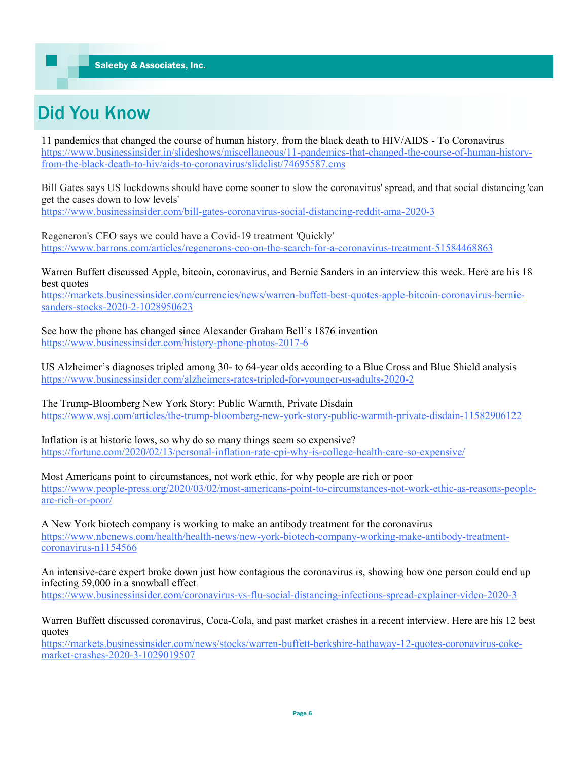# Did You Know

11 pandemics that changed the course of human history, from the black death to HIV/AIDS - To Coronavirus [https://www.businessinsider.in/slideshows/miscellaneous/11](https://www.businessinsider.in/slideshows/miscellaneous/11-pandemics-that-changed-the-course-of-human-history-from-the-black-death-to-hiv/aids-to-coronavirus/slidelist/74695587.cms)-pandemics-that-changed-the-course-of-human-historyfrom-the-black-death-to-hiv/aids-to-[coronavirus/slidelist/74695587.cms](https://www.businessinsider.in/slideshows/miscellaneous/11-pandemics-that-changed-the-course-of-human-history-from-the-black-death-to-hiv/aids-to-coronavirus/slidelist/74695587.cms)

Bill Gates says US lockdowns should have come sooner to slow the coronavirus' spread, and that social distancing 'can get the cases down to low levels'

[https://www.businessinsider.com/bill](https://www.businessinsider.com/bill-gates-coronavirus-social-distancing-reddit-ama-2020-3)-gates-coronavirus-social-distancing-reddit-ama-2020-3

Regeneron's CEO says we could have a Covid-19 treatment 'Quickly' [https://www.barrons.com/articles/regenerons](https://www.barrons.com/articles/regenerons-ceo-on-the-search-for-a-coronavirus-treatment-51584468863)-ceo-on-the-search-for-a-coronavirus-treatment-51584468863

Warren Buffett discussed Apple, bitcoin, coronavirus, and Bernie Sanders in an interview this week. Here are his 18 best quotes

[https://markets.businessinsider.com/currencies/news/warren](https://markets.businessinsider.com/currencies/news/warren-buffett-best-quotes-apple-bitcoin-coronavirus-bernie-sanders-stocks-2020-2-1028950623)-buffett-best-quotes-apple-bitcoin-coronavirus-berniesanders-stocks-2020-2-[1028950623](https://markets.businessinsider.com/currencies/news/warren-buffett-best-quotes-apple-bitcoin-coronavirus-bernie-sanders-stocks-2020-2-1028950623)

See how the phone has changed since Alexander Graham Bell's 1876 invention [https://www.businessinsider.com/history](https://www.businessinsider.com/history-phone-photos-2017-6)-phone-photos-2017-6

US Alzheimer's diagnoses tripled among 30- to 64-year olds according to a Blue Cross and Blue Shield analysis [https://www.businessinsider.com/alzheimers](https://www.businessinsider.com/alzheimers-rates-tripled-for-younger-us-adults-2020-2)-rates-tripled-for-younger-us-adults-2020-2

The Trump-Bloomberg New York Story: Public Warmth, Private Disdain [https://www.wsj.com/articles/the](https://www.wsj.com/articles/the-trump-bloomberg-new-york-story-public-warmth-private-disdain-11582906122)-trump-bloomberg-new-york-story-public-warmth-private-disdain-11582906122

Inflation is at historic lows, so why do so many things seem so expensive? [https://fortune.com/2020/02/13/personal](https://fortune.com/2020/02/13/personal-inflation-rate-cpi-why-is-college-health-care-so-expensive/)-inflation-rate-cpi-why-is-college-health-care-so-expensive/

Most Americans point to circumstances, not work ethic, for why people are rich or poor https://www.people-[press.org/2020/03/02/most](https://www.people-press.org/2020/03/02/most-americans-point-to-circumstances-not-work-ethic-as-reasons-people-are-rich-or-poor/)-americans-point-to-circumstances-not-work-ethic-as-reasons-peopleare-rich-or-[poor/](https://www.people-press.org/2020/03/02/most-americans-point-to-circumstances-not-work-ethic-as-reasons-people-are-rich-or-poor/)

A New York biotech company is working to make an antibody treatment for the coronavirus [https://www.nbcnews.com/health/health](https://www.nbcnews.com/health/health-news/new-york-biotech-company-working-make-antibody-treatment-coronavirus-n1154566)-news/new-york-biotech-company-working-make-antibody-treatment[coronavirus](https://www.nbcnews.com/health/health-news/new-york-biotech-company-working-make-antibody-treatment-coronavirus-n1154566)-n1154566

An intensive-care expert broke down just how contagious the coronavirus is, showing how one person could end up infecting 59,000 in a snowball effect

[https://www.businessinsider.com/coronavirus](https://www.businessinsider.com/coronavirus-vs-flu-social-distancing-infections-spread-explainer-video-2020-3)-vs-flu-social-distancing-infections-spread-explainer-video-2020-3

Warren Buffett discussed coronavirus, Coca-Cola, and past market crashes in a recent interview. Here are his 12 best quotes

[https://markets.businessinsider.com/news/stocks/warren](https://markets.businessinsider.com/news/stocks/warren-buffett-berkshire-hathaway-12-quotes-coronavirus-coke-market-crashes-2020-3-1029019507)-buffett-berkshire-hathaway-12-quotes-coronavirus-cokemarket-crashes-2020-3-[1029019507](https://markets.businessinsider.com/news/stocks/warren-buffett-berkshire-hathaway-12-quotes-coronavirus-coke-market-crashes-2020-3-1029019507)